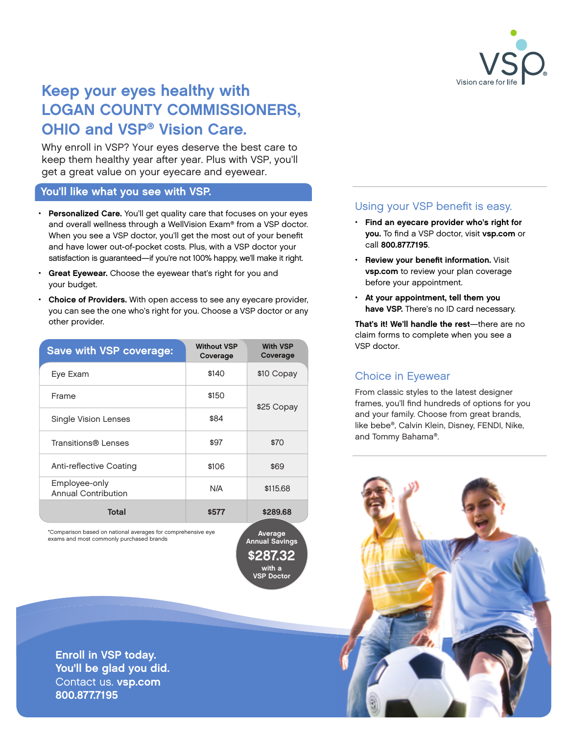

## Keep your eyes healthy with LOGAN COUNTY COMMISSIONERS, OHIO and VSP<sup>®</sup> Vision Care.

Why enroll in VSP? Your eyes deserve the best care to keep them healthy year after year. Plus with VSP, you'll get a great value on your eyecare and eyewear.

### You'll like what you see with VSP.

- Personalized Care. You'll get quality care that focuses on your eyes and overall wellness through a WellVision Exam® from a VSP doctor. When you see a VSP doctor, you'll get the most out of your benefit and have lower out-of-pocket costs. Plus, with a VSP doctor your satisfaction is guaranteed—if you're not 100% happy, we'll make it right.
- Great Eyewear. Choose the eyewear that's right for you and your budget.
- Choice of Providers. With open access to see any eyecare provider, you can see the one who's right for you. Choose a VSP doctor or any other provider.

| <b>Save with VSP coverage:</b>              | <b>Without VSP</b><br>Coverage | <b>With VSP</b><br>Coverage |  |
|---------------------------------------------|--------------------------------|-----------------------------|--|
| Eye Exam                                    | \$140                          | \$10 Copay                  |  |
| Frame                                       | \$150                          | \$25 Copay                  |  |
| Single Vision Lenses                        | \$84                           |                             |  |
| Transitions® Lenses                         | \$97                           | \$70                        |  |
| Anti-reflective Coating                     | \$106                          | \$69                        |  |
| Employee-only<br><b>Annual Contribution</b> | N/A                            | \$115.68                    |  |
| Total                                       | \$577                          | \$289.68                    |  |

\*Comparison based on national averages for comprehensive eye<br>
exams and most commonly purchased brands<br>
Appual Sovir

werage<br>Annual Savings 28722 /ith a **VSP Doctor** 

Using your VSP benefit is easy.

- $\cdot$  Find an eyecare provider who's right for you. To find a VSP doctor, visit vsp.com or call 800.877.7195.
- Review your benefit information. Visit vsp.com to review your plan coverage before your appointment.
- $\cdot$  At your appointment, tell them you have VSP. There's no ID card necessary.

That's it! We'll handle the rest-there are no claim forms to complete when you see a VSP doctor

## **Choice in Evewear**

From classic styles to the latest designer frames, you'll find hundreds of options for you and your family. Choose from great brands, like bebe®, Calvin Klein, Disney, FENDI, Nike, and Tommy Bahama®.



Enroll in VSP today. You'll be glad you did. Contact us. vsp.com 5917.778.008